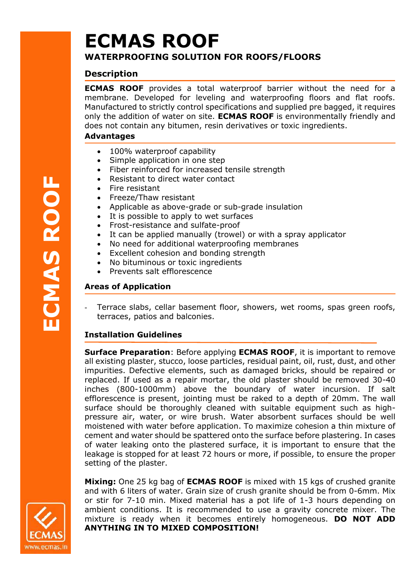# **ECMAS ROOF WATERPROOFING SOLUTION FOR ROOFS/FLOORS**

# **Description**

**ECMAS ROOF** provides a total waterproof barrier without the need for a membrane. Developed for leveling and waterproofing floors and flat roofs. Manufactured to strictly control specifications and supplied pre bagged, it requires only the addition of water on site. **ECMAS ROOF** is environmentally friendly and does not contain any bitumen, resin derivatives or toxic ingredients.

### **Advantages**

- 100% waterproof capability
- Simple application in one step
- Fiber reinforced for increased tensile strength
- Resistant to direct water contact
- Fire resistant
- Freeze/Thaw resistant
- Applicable as above-grade or sub-grade insulation
- It is possible to apply to wet surfaces
- Frost-resistance and sulfate-proof
- It can be applied manually (trowel) or with a spray applicator
- No need for additional waterproofing membranes
- Excellent cohesion and bonding strength
- No bituminous or toxic ingredients
- Prevents salt efflorescence

# **Areas of Application**

Terrace slabs, cellar basement floor, showers, wet rooms, spas green roofs, terraces, patios and balconies.

# **Installation Guidelines**

**Surface Preparation**: Before applying **ECMAS ROOF**, it is important to remove all existing plaster, stucco, loose particles, residual paint, oil, rust, dust, and other impurities. Defective elements, such as damaged bricks, should be repaired or replaced. If used as a repair mortar, the old plaster should be removed 30-40 inches (800-1000mm) above the boundary of water incursion. If salt efflorescence is present, jointing must be raked to a depth of 20mm. The wall surface should be thoroughly cleaned with suitable equipment such as highpressure air, water, or wire brush. Water absorbent surfaces should be well moistened with water before application. To maximize cohesion a thin mixture of cement and water should be spattered onto the surface before plastering. In cases of water leaking onto the plastered surface, it is important to ensure that the leakage is stopped for at least 72 hours or more, if possible, to ensure the proper setting of the plaster.

**Mixing:** One 25 kg bag of **ECMAS ROOF** is mixed with 15 kgs of crushed granite and with 6 liters of water. Grain size of crush granite should be from 0-6mm. Mix or stir for 7-10 min. Mixed material has a pot life of 1-3 hours depending on ambient conditions. It is recommended to use a gravity concrete mixer. The mixture is ready when it becomes entirely homogeneous. **DO NOT ADD ANYTHING IN TO MIXED COMPOSITION!**